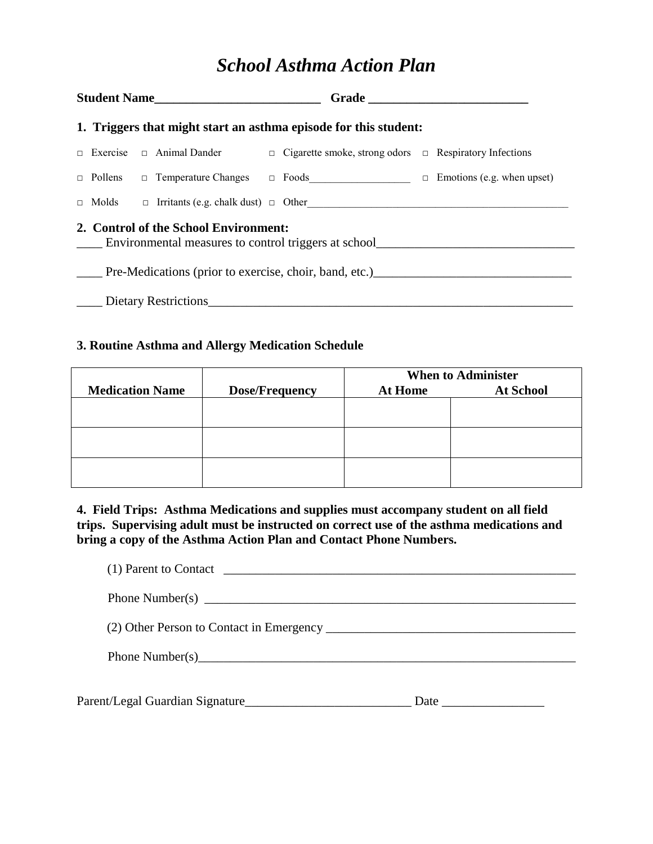# *School Asthma Action Plan*

| Student Name |                                                                                               |  |  |  |                                                                                                         |  |  |
|--------------|-----------------------------------------------------------------------------------------------|--|--|--|---------------------------------------------------------------------------------------------------------|--|--|
|              | 1. Triggers that might start an asthma episode for this student:                              |  |  |  |                                                                                                         |  |  |
|              |                                                                                               |  |  |  | $\Box$ Exercise $\Box$ Animal Dander $\Box$ Cigarette smoke, strong odors $\Box$ Respiratory Infections |  |  |
|              |                                                                                               |  |  |  | □ Pollens □ Temperature Changes □ Foods □ □ Emotions (e.g. when upset)                                  |  |  |
|              |                                                                                               |  |  |  | $\Box$ Molds $\Box$ Irritants (e.g. chalk dust) $\Box$ Other                                            |  |  |
|              | 2. Control of the School Environment:<br>Environmental measures to control triggers at school |  |  |  |                                                                                                         |  |  |
|              | Pre-Medications (prior to exercise, choir, band, etc.)                                        |  |  |  |                                                                                                         |  |  |
|              | Dietary Restrictions                                                                          |  |  |  |                                                                                                         |  |  |

#### **3. Routine Asthma and Allergy Medication Schedule**

|                        |                       | <b>When to Administer</b> |                  |  |
|------------------------|-----------------------|---------------------------|------------------|--|
| <b>Medication Name</b> | <b>Dose/Frequency</b> | At Home                   | <b>At School</b> |  |
|                        |                       |                           |                  |  |
|                        |                       |                           |                  |  |
|                        |                       |                           |                  |  |
|                        |                       |                           |                  |  |
|                        |                       |                           |                  |  |
|                        |                       |                           |                  |  |

**4. Field Trips: Asthma Medications and supplies must accompany student on all field trips. Supervising adult must be instructed on correct use of the asthma medications and bring a copy of the Asthma Action Plan and Contact Phone Numbers.**